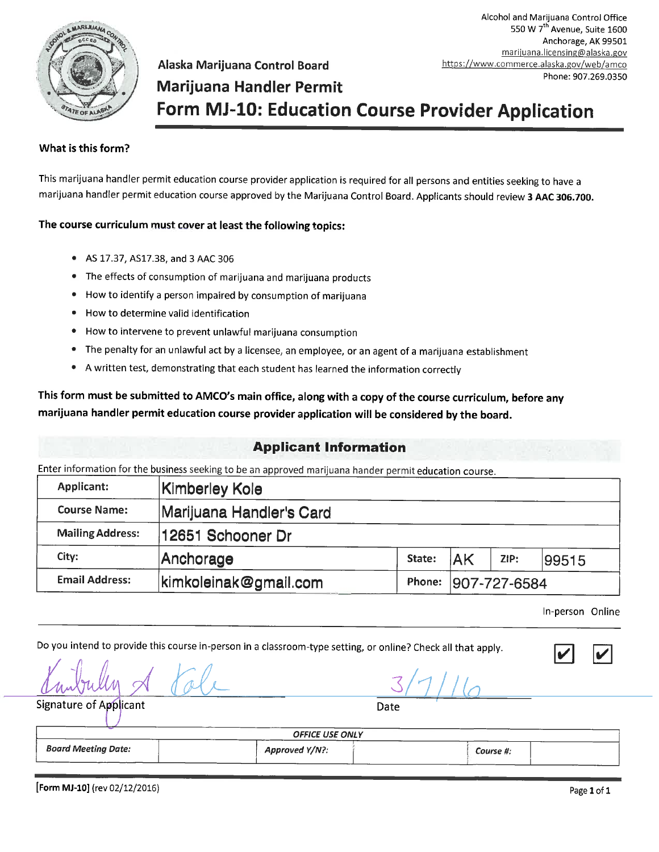

Alcohol and Marijuana Control Office 550 W 7<sup>th</sup> Avenue, Suite 1600 Anchorage, AK 99501 marijuana.licensing@alaska.gov https://www.commerce.alaska.gov/web/amco Phone: 907.269.0350

# **Marijuana Handler Permit** Form MJ-10: Education Course Provider Application

#### What is this form?

This marijuana handler permit education course provider application is required for all persons and entities seeking to have a marijuana handler permit education course approved by the Marijuana Control Board. Applicants should review 3 AAC 306.700.

#### The course curriculum must cover at least the following topics:

- AS 17.37, AS17.38, and 3 AAC 306
- The effects of consumption of marijuana and marijuana products

Alaska Marijuana Control Board

- How to identify a person impaired by consumption of marijuana
- How to determine valid identification
- How to intervene to prevent unlawful marijuana consumption
- The penalty for an unlawful act by a licensee, an employee, or an agent of a marijuana establishment
- A written test, demonstrating that each student has learned the information correctly

This form must be submitted to AMCO's main office, along with a copy of the course curriculum, before any marijuana handler permit education course provider application will be considered by the board.

#### **Applicant Information**

Enter information for the business seeking to be an approved marijuana hander permit education course.

Do you intend to provide this course in-person in a classroom-type setting, or online? Check all that apply.

| <b>Applicant:</b>       | Kimberley Kole           |        |              |      |       |
|-------------------------|--------------------------|--------|--------------|------|-------|
| <b>Course Name:</b>     | Marijuana Handler's Card |        |              |      |       |
| <b>Mailing Address:</b> | 12651 Schooner Dr        |        |              |      |       |
| City:                   | Anchorage                | State: | <b>JAK</b>   | ZIP: | 99515 |
| <b>Email Address:</b>   | kimkoleinak@gmail.com    | Phone: | 907-727-6584 |      |       |

In-person Online

 $\overline{\phantom{a}}$ 

 $\overline{\mathcal{L}}$ 

| Signature of Applicant     | Date           |           |  |  |  |
|----------------------------|----------------|-----------|--|--|--|
| <b>OFFICE USE ONLY</b>     |                |           |  |  |  |
| <b>Board Meeting Date:</b> | Approved Y/N?: | Course #: |  |  |  |

[Form MJ-10] (rev 02/12/2016)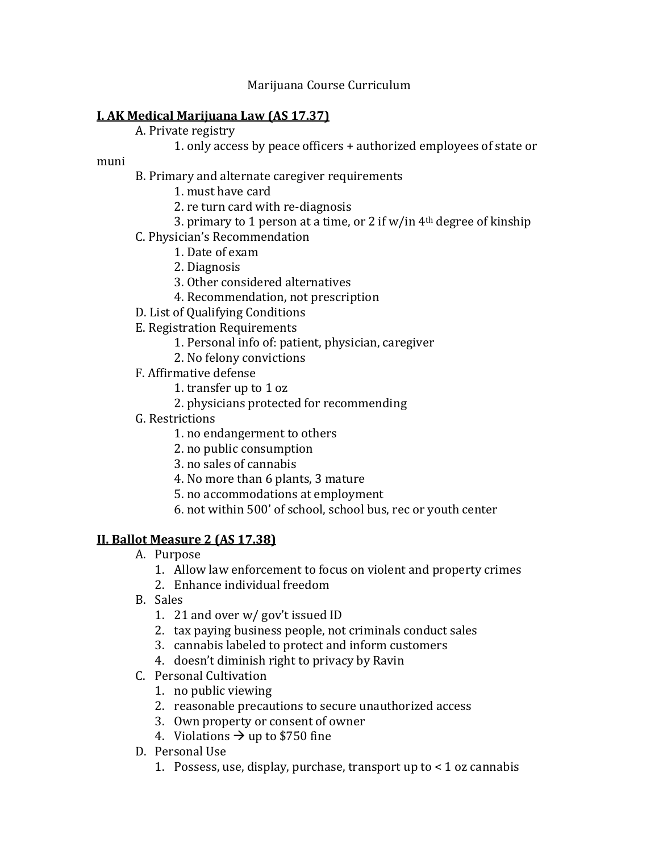#### Marijuana Course Curriculum

## **I. AK Medical Marijuana Law (AS 17.37)**

- A. Private registry
	- 1. only access by peace officers + authorized employees of state or

muni

- B. Primary and alternate caregiver requirements
	- 1. must have card
	- 2. re turn card with re-diagnosis
	- 3. primary to 1 person at a time, or 2 if  $w/in 4<sup>th</sup> degree of kinship$
- C. Physician's Recommendation
	- 1. Date of exam
	- 2. Diagnosis
	- 3. Other considered alternatives
	- 4. Recommendation, not prescription
- D. List of Qualifying Conditions
- E. Registration Requirements
	- 1. Personal info of: patient, physician, caregiver
	- 2. No felony convictions
- F. Affirmative defense
	- 1. transfer up to 1 oz
	- 2. physicians protected for recommending
- G. Restrictions
	- 1. no endangerment to others
	- 2. no public consumption
	- 3. no sales of cannabis
	- 4. No more than 6 plants, 3 mature
	- 5. no accommodations at employment
	- 6. not within 500' of school, school bus, rec or youth center

## **II. Ballot Measure 2 (AS 17.38)**

- A. Purpose
	- 1. Allow law enforcement to focus on violent and property crimes
	- 2. Enhance individual freedom
- B. Sales
	- 1. 21 and over w/ gov't issued ID
	- 2. tax paying business people, not criminals conduct sales
	- 3. cannabis labeled to protect and inform customers
	- 4. doesn't diminish right to privacy by Ravin
- C. Personal Cultivation
	- 1. no public viewing
	- 2. reasonable precautions to secure unauthorized access
	- 3. Own property or consent of owner
	- 4. Violations  $\rightarrow$  up to \$750 fine
- D. Personal Use
	- 1. Possess, use, display, purchase, transport up to < 1 oz cannabis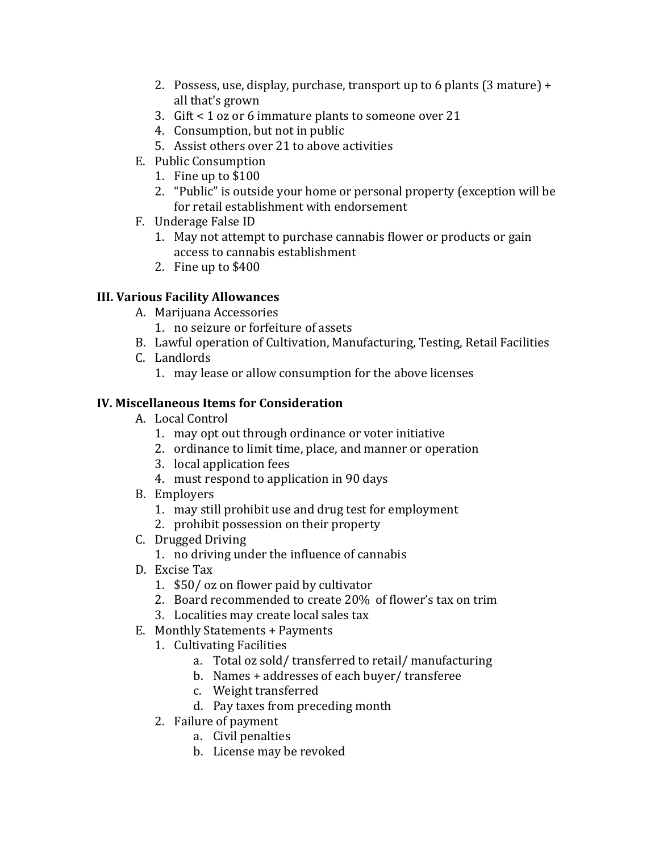- 2. Possess, use, display, purchase, transport up to 6 plants (3 mature) + all that's grown
- 3. Gift < 1 oz or 6 immature plants to someone over 21
- 4. Consumption, but not in public
- 5. Assist others over 21 to above activities
- E. Public Consumption
	- 1. Fine up to \$100
	- 2. "Public" is outside your home or personal property (exception will be for retail establishment with endorsement
- F. Underage False ID
	- 1. May not attempt to purchase cannabis flower or products or gain access to cannabis establishment
	- 2. Fine up to \$400

# **III. Various Facility Allowances**

- A. Marijuana Accessories
	- 1. no seizure or forfeiture of assets
- B. Lawful operation of Cultivation, Manufacturing, Testing, Retail Facilities
- C. Landlords
	- 1. may lease or allow consumption for the above licenses

# **IV. Miscellaneous Items for Consideration**

- A. Local Control
	- 1. may opt out through ordinance or voter initiative
	- 2. ordinance to limit time, place, and manner or operation
	- 3. local application fees
	- 4. must respond to application in 90 days
- B. Employers
	- 1. may still prohibit use and drug test for employment
	- 2. prohibit possession on their property
- C. Drugged Driving
	- 1. no driving under the influence of cannabis
- D. Excise Tax
	- 1. \$50/ oz on flower paid by cultivator
	- 2. Board recommended to create 20% of flower's tax on trim
	- 3. Localities may create local sales tax
- E. Monthly Statements + Payments
	- 1. Cultivating Facilities
		- a. Total oz sold/ transferred to retail/ manufacturing
		- b. Names + addresses of each buyer/ transferee
		- c. Weight transferred
		- d. Pay taxes from preceding month
	- 2. Failure of payment
		- a. Civil penalties
		- b. License may be revoked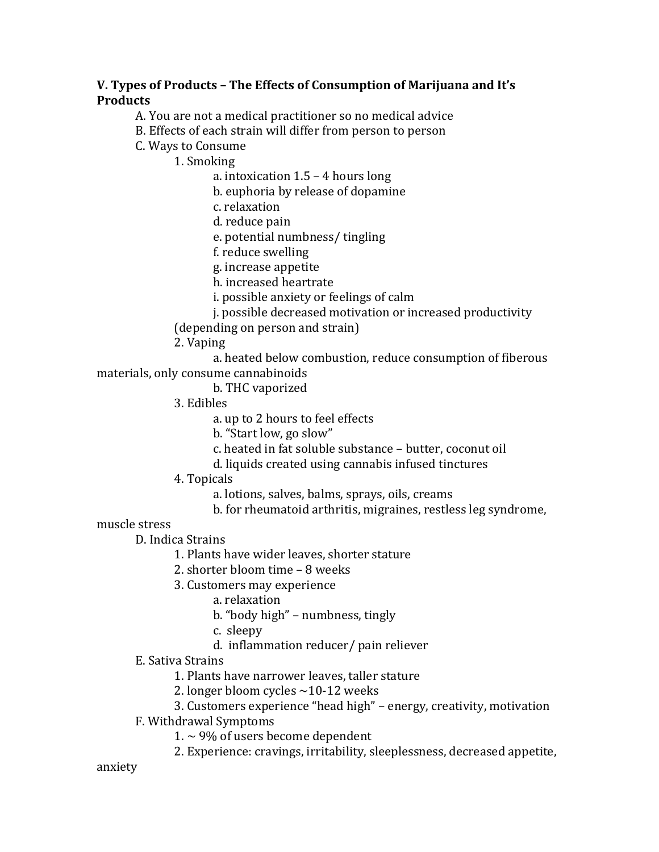## **V. Types of Products – The Effects of Consumption of Marijuana and It's Products**

A. You are not a medical practitioner so no medical advice

B. Effects of each strain will differ from person to person

C. Ways to Consume

1. Smoking

a. intoxication 1.5 – 4 hours long

b. euphoria by release of dopamine

c. relaxation

d. reduce pain

e. potential numbness/ tingling

f. reduce swelling

g. increase appetite

h. increased heartrate

i. possible anxiety or feelings of calm

j. possible decreased motivation or increased productivity

(depending on person and strain)

2. Vaping

a. heated below combustion, reduce consumption of fiberous materials, only consume cannabinoids

b. THC vaporized

3. Edibles

a. up to 2 hours to feel effects

b. "Start low, go slow"

c. heated in fat soluble substance – butter, coconut oil

d. liquids created using cannabis infused tinctures

4. Topicals

a. lotions, salves, balms, sprays, oils, creams

b. for rheumatoid arthritis, migraines, restless leg syndrome,

muscle stress

D. Indica Strains

1. Plants have wider leaves, shorter stature

2. shorter bloom time – 8 weeks

3. Customers may experience

a. relaxation

b. "body high" – numbness, tingly

c. sleepy

d. inflammation reducer/ pain reliever

E. Sativa Strains

1. Plants have narrower leaves, taller stature

2. longer bloom cycles  $\sim$ 10-12 weeks

3. Customers experience "head high" – energy, creativity, motivation

F. Withdrawal Symptoms

1.  $\sim$  9% of users become dependent

2. Experience: cravings, irritability, sleeplessness, decreased appetite,

anxiety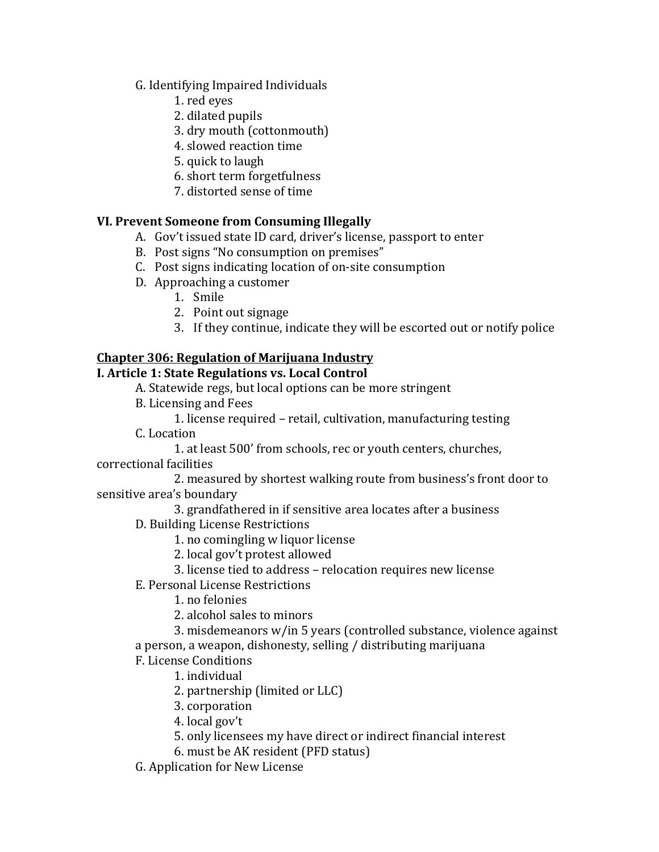## G. Identifying Impaired Individuals

- 1. red eyes
- 2. dilated pupils
- 3. dry mouth (cottonmouth)
- 4. slowed reaction time
- 5. quick to laugh
- 6. short term forgetfulness
- 7. distorted sense of time

# **VI. Prevent Someone from Consuming Illegally**

- A. Gov't issued state ID card, driver's license, passport to enter
- B. Post signs "No consumption on premises"
- C. Post signs indicating location of on-site consumption
- D. Approaching a customer
	- 1. Smile
	- 2. Point out signage
	- 3. If they continue, indicate they will be escorted out or notify police

# **Chapter 306: Regulation of Marijuana Industry**

# **I. Article 1: State Regulations vs. Local Control**

A. Statewide regs, but local options can be more stringent

- B. Licensing and Fees
	- 1. license required retail, cultivation, manufacturing testing
- C. Location
	- 1. at least 500' from schools, rec or youth centers, churches,
- correctional facilities

2. measured by shortest walking route from business's front door to sensitive area's boundary

- 3. grandfathered in if sensitive area locates after a business
- D. Building License Restrictions
	- 1. no comingling w liquor license
	- 2. local gov't protest allowed
	- 3. license tied to address relocation requires new license
- E. Personal License Restrictions

1. no felonies

2. alcohol sales to minors

3. misdemeanors w/in 5 years (controlled substance, violence against a person, a weapon, dishonesty, selling / distributing marijuana

F. License Conditions

1. individual

- 2. partnership (limited or LLC)
- 3. corporation
- 4. local gov't
- 5. only licensees my have direct or indirect financial interest
- 6. must be AK resident (PFD status)
- G. Application for New License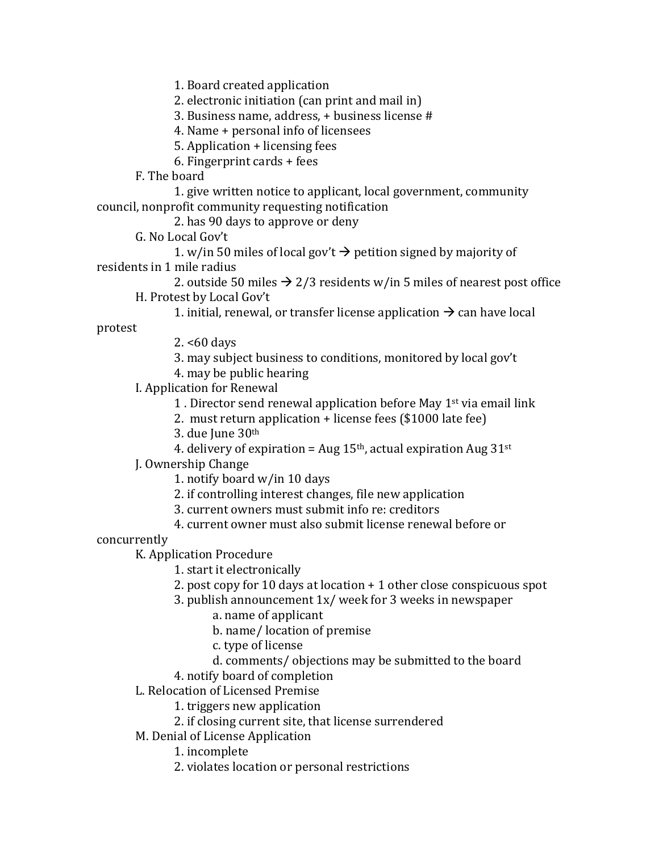1. Board created application

2. electronic initiation (can print and mail in)

3. Business name, address, + business license #

4. Name + personal info of licensees

5. Application + licensing fees

6. Fingerprint cards + fees

F. The board

1. give written notice to applicant, local government, community council, nonprofit community requesting notification

2. has 90 days to approve or deny

G. No Local Gov't

1. w/in 50 miles of local gov't  $\rightarrow$  petition signed by majority of residents in 1 mile radius

2. outside 50 miles  $\rightarrow$  2/3 residents w/in 5 miles of nearest post office H. Protest by Local Gov't

1. initial, renewal, or transfer license application  $\rightarrow$  can have local

protest

2. <60 days

- 3. may subject business to conditions, monitored by local gov't
- 4. may be public hearing

I. Application for Renewal

- 1 . Director send renewal application before May 1st via email link
- 2. must return application + license fees (\$1000 late fee)

3. due June 30th

4. delivery of expiration = Aug  $15<sup>th</sup>$ , actual expiration Aug  $31<sup>st</sup>$ 

J. Ownership Change

1. notify board w/in 10 days

2. if controlling interest changes, file new application

3. current owners must submit info re: creditors

4. current owner must also submit license renewal before or

concurrently

K. Application Procedure

1. start it electronically

2. post copy for 10 days at location + 1 other close conspicuous spot

3. publish announcement 1x/ week for 3 weeks in newspaper

a. name of applicant

b. name/ location of premise

c. type of license

d. comments/ objections may be submitted to the board

4. notify board of completion

L. Relocation of Licensed Premise

1. triggers new application

- 2. if closing current site, that license surrendered
- M. Denial of License Application

1. incomplete

2. violates location or personal restrictions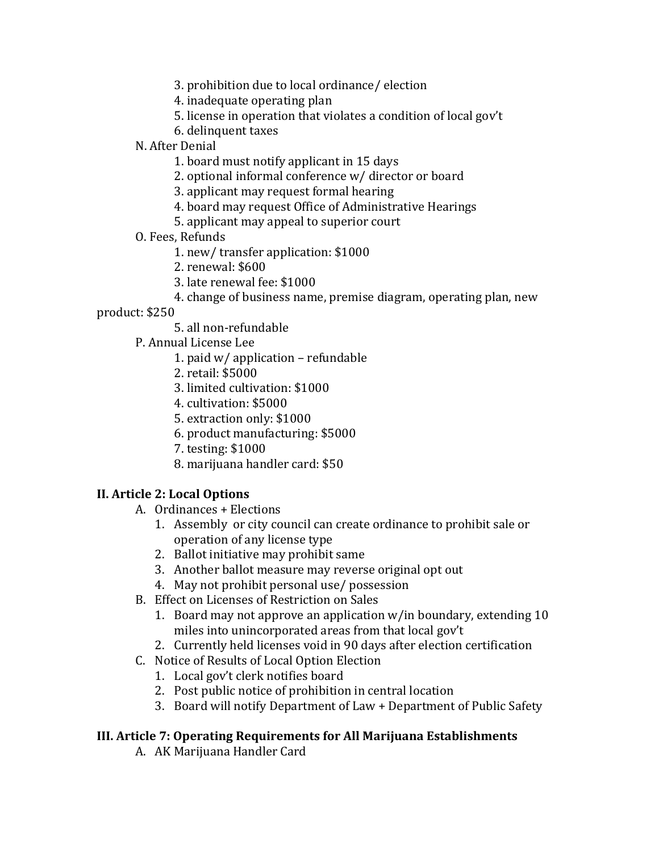3. prohibition due to local ordinance/ election

4. inadequate operating plan

- 5. license in operation that violates a condition of local gov't
- 6. delinquent taxes
- N. After Denial
	- 1. board must notify applicant in 15 days
	- 2. optional informal conference w/ director or board
	- 3. applicant may request formal hearing
	- 4. board may request Office of Administrative Hearings
	- 5. applicant may appeal to superior court
- O. Fees, Refunds
	- 1. new/ transfer application: \$1000
	- 2. renewal: \$600
	- 3. late renewal fee: \$1000
	- 4. change of business name, premise diagram, operating plan, new

product: \$250

5. all non-refundable

P. Annual License Lee

- 1. paid w/ application refundable
- 2. retail: \$5000
- 3. limited cultivation: \$1000
- 4. cultivation: \$5000
- 5. extraction only: \$1000
- 6. product manufacturing: \$5000
- 7. testing: \$1000
- 8. marijuana handler card: \$50

## **II. Article 2: Local Options**

- A. Ordinances + Elections
	- 1. Assembly or city council can create ordinance to prohibit sale or operation of any license type
	- 2. Ballot initiative may prohibit same
	- 3. Another ballot measure may reverse original opt out
	- 4. May not prohibit personal use/ possession
- B. Effect on Licenses of Restriction on Sales
	- 1. Board may not approve an application w/in boundary, extending 10 miles into unincorporated areas from that local gov't
	- 2. Currently held licenses void in 90 days after election certification
- C. Notice of Results of Local Option Election
	- 1. Local gov't clerk notifies board
	- 2. Post public notice of prohibition in central location
	- 3. Board will notify Department of Law + Department of Public Safety

## **III. Article 7: Operating Requirements for All Marijuana Establishments**

A. AK Marijuana Handler Card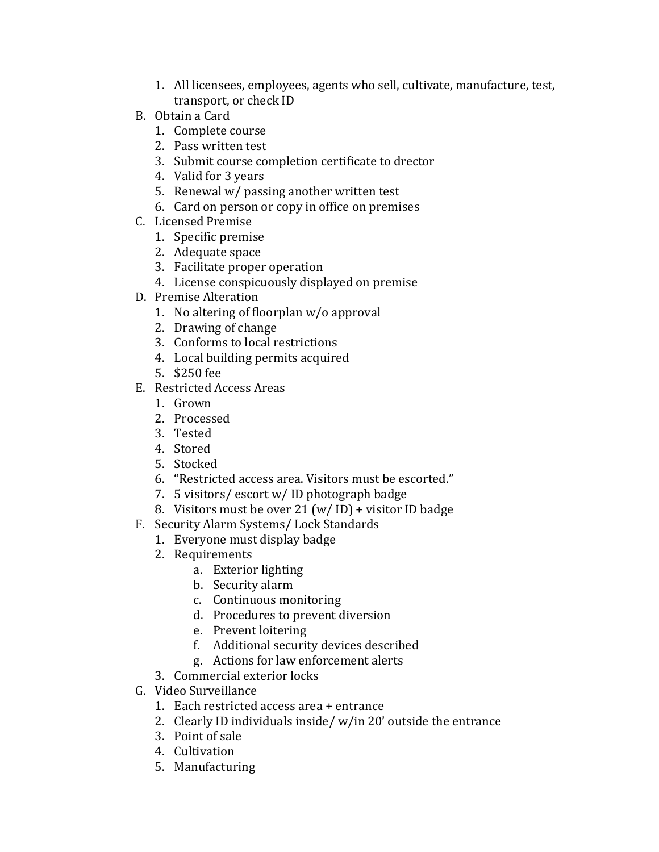- 1. All licensees, employees, agents who sell, cultivate, manufacture, test, transport, or check ID
- B. Obtain a Card
	- 1. Complete course
	- 2. Pass written test
	- 3. Submit course completion certificate to drector
	- 4. Valid for 3 years
	- 5. Renewal w/ passing another written test
	- 6. Card on person or copy in office on premises
- C. Licensed Premise
	- 1. Specific premise
	- 2. Adequate space
	- 3. Facilitate proper operation
	- 4. License conspicuously displayed on premise
- D. Premise Alteration
	- 1. No altering of floorplan w/o approval
	- 2. Drawing of change
	- 3. Conforms to local restrictions
	- 4. Local building permits acquired
	- 5. \$250 fee
- E. Restricted Access Areas
	- 1. Grown
	- 2. Processed
	- 3. Tested
	- 4. Stored
	- 5. Stocked
	- 6. "Restricted access area. Visitors must be escorted."
	- 7. 5 visitors/ escort w/ ID photograph badge
	- 8. Visitors must be over 21 (w/ ID) + visitor ID badge
- F. Security Alarm Systems/ Lock Standards
	- 1. Everyone must display badge
	- 2. Requirements
		- a. Exterior lighting
		- b. Security alarm
		- c. Continuous monitoring
		- d. Procedures to prevent diversion
		- e. Prevent loitering
		- f. Additional security devices described
		- g. Actions for law enforcement alerts
	- 3. Commercial exterior locks
- G. Video Surveillance
	- 1. Each restricted access area + entrance
	- 2. Clearly ID individuals inside/ w/in 20' outside the entrance
	- 3. Point of sale
	- 4. Cultivation
	- 5. Manufacturing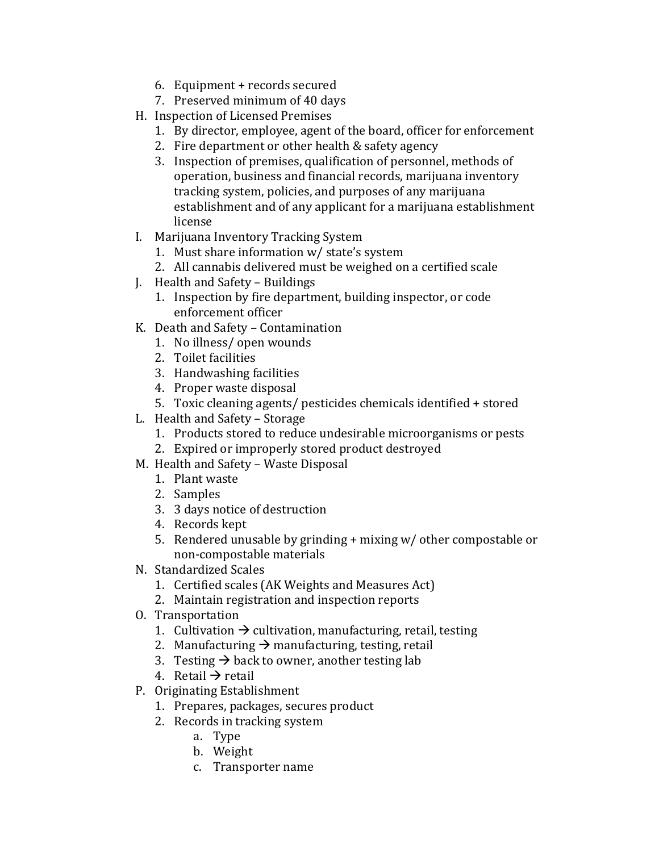- 6. Equipment + records secured
- 7. Preserved minimum of 40 days
- H. Inspection of Licensed Premises
	- 1. By director, employee, agent of the board, officer for enforcement
	- 2. Fire department or other health & safety agency
	- 3. Inspection of premises, qualification of personnel, methods of operation, business and financial records, marijuana inventory tracking system, policies, and purposes of any marijuana establishment and of any applicant for a marijuana establishment license
- I. Marijuana Inventory Tracking System
	- 1. Must share information w/ state's system
	- 2. All cannabis delivered must be weighed on a certified scale
- J. Health and Safety Buildings
	- 1. Inspection by fire department, building inspector, or code enforcement officer
- K. Death and Safety Contamination
	- 1. No illness/ open wounds
	- 2. Toilet facilities
	- 3. Handwashing facilities
	- 4. Proper waste disposal
	- 5. Toxic cleaning agents/ pesticides chemicals identified + stored
- L. Health and Safety Storage
	- 1. Products stored to reduce undesirable microorganisms or pests
	- 2. Expired or improperly stored product destroyed
- M. Health and Safety Waste Disposal
	- 1. Plant waste
	- 2. Samples
	- 3. 3 days notice of destruction
	- 4. Records kept
	- 5. Rendered unusable by grinding + mixing w/ other compostable or non-compostable materials
- N. Standardized Scales
	- 1. Certified scales (AK Weights and Measures Act)
	- 2. Maintain registration and inspection reports
- O. Transportation
	- 1. Cultivation  $\rightarrow$  cultivation, manufacturing, retail, testing
	- 2. Manufacturing  $\rightarrow$  manufacturing, testing, retail
	- 3. Testing  $\rightarrow$  back to owner, another testing lab
	- 4. Retail  $\rightarrow$  retail
- P. Originating Establishment
	- 1. Prepares, packages, secures product
	- 2. Records in tracking system
		- a. Type
		- b. Weight
		- c. Transporter name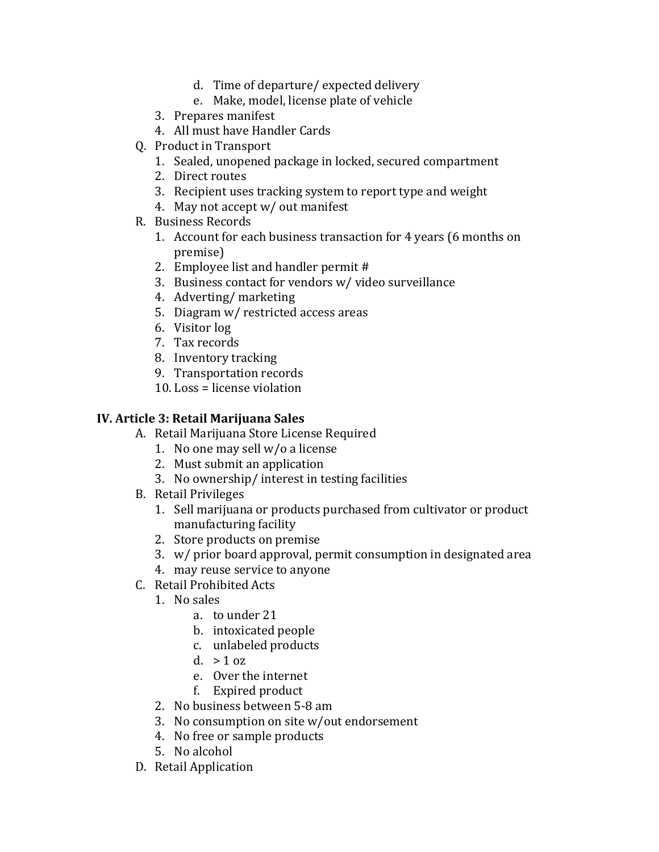- d. Time of departure/ expected delivery
- e. Make, model, license plate of vehicle
- 3. Prepares manifest
- 4. All must have Handler Cards
- Q. Product in Transport
	- 1. Sealed, unopened package in locked, secured compartment
	- 2. Direct routes
	- 3. Recipient uses tracking system to report type and weight
	- 4. May not accept w/ out manifest
- R. Business Records
	- 1. Account for each business transaction for 4 years (6 months on premise)
	- 2. Employee list and handler permit #
	- 3. Business contact for vendors w/ video surveillance
	- 4. Adverting/ marketing
	- 5. Diagram w/ restricted access areas
	- 6. Visitor log
	- 7. Tax records
	- 8. Inventory tracking
	- 9. Transportation records
	- 10. Loss = license violation

#### **IV. Article 3: Retail Marijuana Sales**

- A. Retail Marijuana Store License Required
	- 1. No one may sell w/o a license
	- 2. Must submit an application
	- 3. No ownership/ interest in testing facilities
- B. Retail Privileges
	- 1. Sell marijuana or products purchased from cultivator or product manufacturing facility
	- 2. Store products on premise
	- 3. w/ prior board approval, permit consumption in designated area
	- 4. may reuse service to anyone
- C. Retail Prohibited Acts
	- 1. No sales
		- a. to under 21
		- b. intoxicated people
		- c. unlabeled products
		- d.  $> 1$  oz
		- e. Over the internet
		- f. Expired product
	- 2. No business between 5-8 am
	- 3. No consumption on site w/out endorsement
	- 4. No free or sample products
	- 5. No alcohol
- D. Retail Application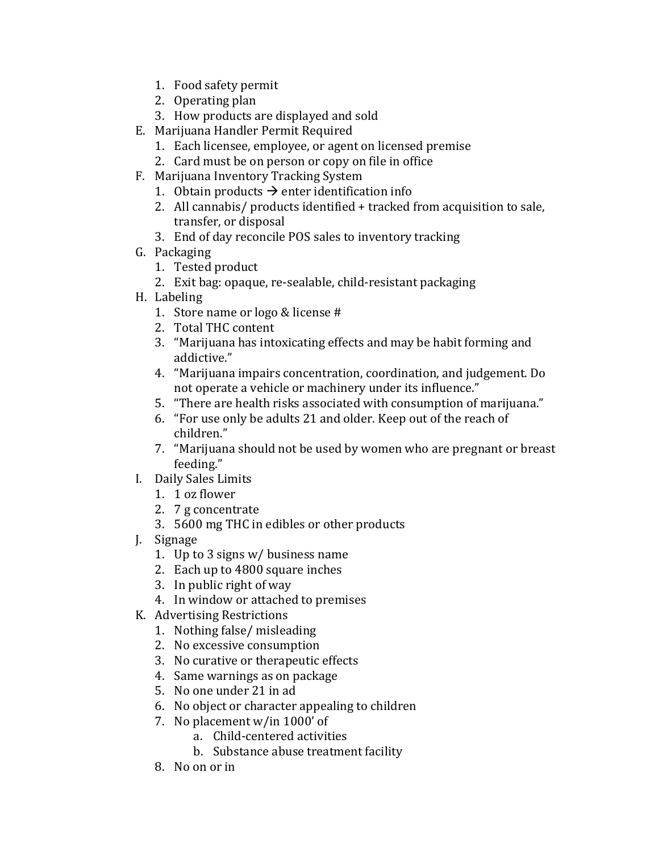- 1. Food safety permit
- 2. Operating plan
- 3. How products are displayed and sold
- E. Marijuana Handler Permit Required
	- 1. Each licensee, employee, or agent on licensed premise
	- 2. Card must be on person or copy on file in office
- F. Marijuana Inventory Tracking System
	- 1. Obtain products  $\rightarrow$  enter identification info
	- 2. All cannabis/ products identified + tracked from acquisition to sale, transfer, or disposal
	- 3. End of day reconcile POS sales to inventory tracking
- G. Packaging
	- 1. Tested product
	- 2. Exit bag: opaque, re-sealable, child-resistant packaging
- H. Labeling
	- 1. Store name or logo & license #
	- 2. Total THC content
	- 3. "Marijuana has intoxicating effects and may be habit forming and addictive."
	- 4. "Marijuana impairs concentration, coordination, and judgement. Do not operate a vehicle or machinery under its influence."
	- 5. "There are health risks associated with consumption of marijuana."
	- 6. "For use only be adults 21 and older. Keep out of the reach of children."
	- 7. "Marijuana should not be used by women who are pregnant or breast feeding."
- I. Daily Sales Limits
	- 1. 1 oz flower
	- 2. 7 g concentrate
	- 3. 5600 mg THC in edibles or other products
- J. Signage
	- 1. Up to 3 signs w/ business name
	- 2. Each up to 4800 square inches
	- 3. In public right of way
	- 4. In window or attached to premises
- K. Advertising Restrictions
	- 1. Nothing false/ misleading
	- 2. No excessive consumption
	- 3. No curative or therapeutic effects
	- 4. Same warnings as on package
	- 5. No one under 21 in ad
	- 6. No object or character appealing to children
	- 7. No placement w/in 1000' of
		- a. Child-centered activities
		- b. Substance abuse treatment facility
	- 8. No on or in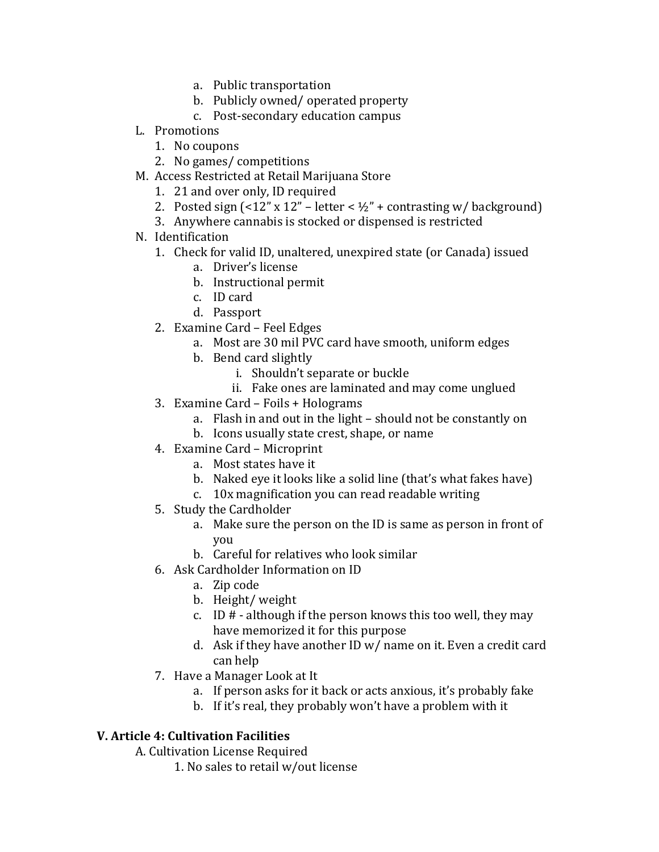- a. Public transportation
- b. Publicly owned/ operated property
- c. Post-secondary education campus
- L. Promotions
	- 1. No coupons
	- 2. No games/ competitions
- M. Access Restricted at Retail Marijuana Store
	- 1. 21 and over only, ID required
	- 2. Posted sign  $\left($  <12" x 12" letter <  $\frac{1}{2}$ " + contrasting w/ background)
	- 3. Anywhere cannabis is stocked or dispensed is restricted
- N. Identification
	- 1. Check for valid ID, unaltered, unexpired state (or Canada) issued
		- a. Driver's license
		- b. Instructional permit
		- c. ID card
		- d. Passport
	- 2. Examine Card Feel Edges
		- a. Most are 30 mil PVC card have smooth, uniform edges
		- b. Bend card slightly
			- i. Shouldn't separate or buckle
			- ii. Fake ones are laminated and may come unglued
	- 3. Examine Card Foils + Holograms
		- a. Flash in and out in the light should not be constantly on
		- b. Icons usually state crest, shape, or name
	- 4. Examine Card Microprint
		- a. Most states have it
		- b. Naked eye it looks like a solid line (that's what fakes have)
		- c. 10x magnification you can read readable writing
	- 5. Study the Cardholder
		- a. Make sure the person on the ID is same as person in front of you
		- b. Careful for relatives who look similar
	- 6. Ask Cardholder Information on ID
		- a. Zip code
		- b. Height/ weight
		- c. ID  $#$  although if the person knows this too well, they may have memorized it for this purpose
		- d. Ask if they have another ID w/ name on it. Even a credit card can help
	- 7. Have a Manager Look at It
		- a. If person asks for it back or acts anxious, it's probably fake
		- b. If it's real, they probably won't have a problem with it

## **V. Article 4: Cultivation Facilities**

A. Cultivation License Required

1. No sales to retail w/out license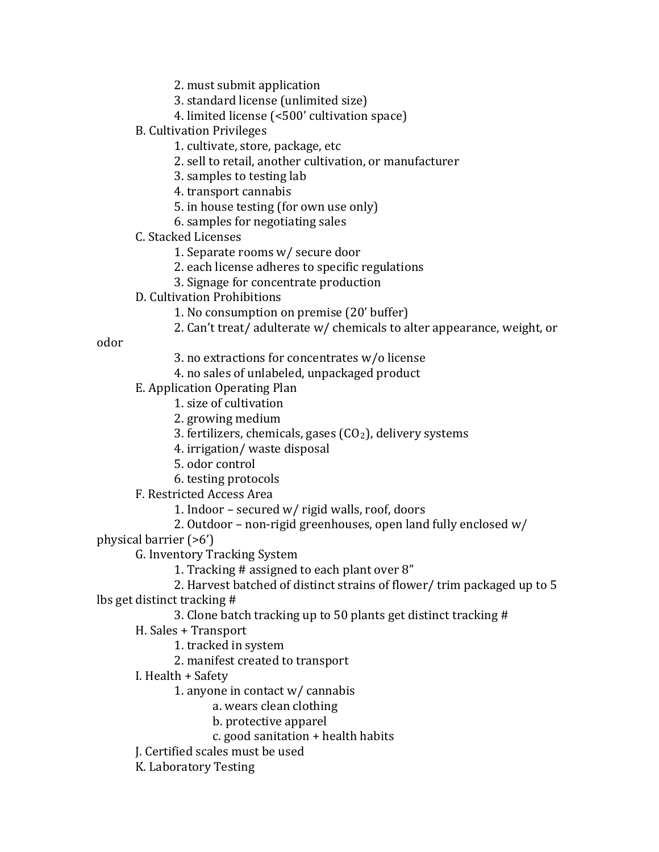2. must submit application

- 3. standard license (unlimited size)
- 4. limited license (<500' cultivation space)
- B. Cultivation Privileges
	- 1. cultivate, store, package, etc
	- 2. sell to retail, another cultivation, or manufacturer
	- 3. samples to testing lab

4. transport cannabis

- 5. in house testing (for own use only)
- 6. samples for negotiating sales
- C. Stacked Licenses
	- 1. Separate rooms w/ secure door
	- 2. each license adheres to specific regulations
	- 3. Signage for concentrate production
- D. Cultivation Prohibitions
	- 1. No consumption on premise (20' buffer)
	- 2. Can't treat/ adulterate w/ chemicals to alter appearance, weight, or

odor

- 3. no extractions for concentrates w/o license
- 4. no sales of unlabeled, unpackaged product
- E. Application Operating Plan
	- 1. size of cultivation
		- 2. growing medium
		- 3. fertilizers, chemicals, gases  $(CO<sub>2</sub>)$ , delivery systems
		- 4. irrigation/ waste disposal
		- 5. odor control
	- 6. testing protocols

F. Restricted Access Area

- 1. Indoor secured w/ rigid walls, roof, doors
- 2. Outdoor non-rigid greenhouses, open land fully enclosed w/

physical barrier (>6')

G. Inventory Tracking System

1. Tracking # assigned to each plant over 8"

2. Harvest batched of distinct strains of flower/ trim packaged up to 5

lbs get distinct tracking #

3. Clone batch tracking up to 50 plants get distinct tracking #

- H. Sales + Transport
	- 1. tracked in system
	- 2. manifest created to transport
- I. Health + Safety
	- 1. anyone in contact w/ cannabis
		- a. wears clean clothing
			- b. protective apparel
		- c. good sanitation + health habits

J. Certified scales must be used

K. Laboratory Testing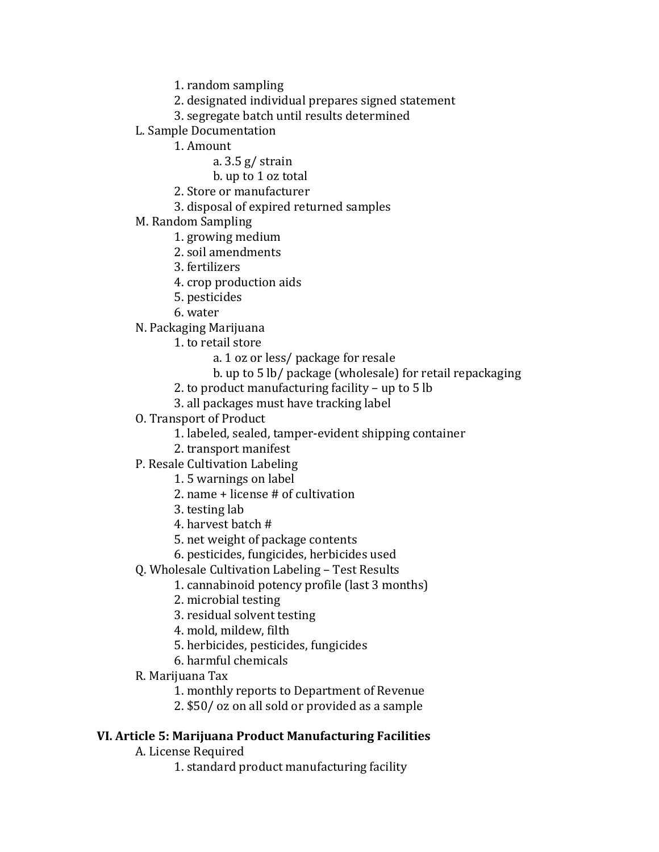1. random sampling

- 2. designated individual prepares signed statement
- 3. segregate batch until results determined
- L. Sample Documentation
	- 1. Amount
		- a. 3.5 g/ strain
		- b. up to 1 oz total
	- 2. Store or manufacturer
	- 3. disposal of expired returned samples
- M. Random Sampling
	- 1. growing medium
	- 2. soil amendments
	- 3. fertilizers
	- 4. crop production aids
	- 5. pesticides
	- 6. water
- N. Packaging Marijuana
	- 1. to retail store
		- a. 1 oz or less/ package for resale
		- b. up to 5 lb/ package (wholesale) for retail repackaging
	- 2. to product manufacturing facility up to 5 lb
	- 3. all packages must have tracking label
- O. Transport of Product
	- 1. labeled, sealed, tamper-evident shipping container
	- 2. transport manifest
- P. Resale Cultivation Labeling
	- 1. 5 warnings on label
	- 2. name + license # of cultivation
	- 3. testing lab
	- 4. harvest batch #
	- 5. net weight of package contents
	- 6. pesticides, fungicides, herbicides used
- Q. Wholesale Cultivation Labeling Test Results
	- 1. cannabinoid potency profile (last 3 months)
	- 2. microbial testing
	- 3. residual solvent testing
	- 4. mold, mildew, filth
	- 5. herbicides, pesticides, fungicides
	- 6. harmful chemicals
- R. Marijuana Tax
	- 1. monthly reports to Department of Revenue
	- 2. \$50/ oz on all sold or provided as a sample

#### **VI. Article 5: Marijuana Product Manufacturing Facilities**

- A. License Required
	- 1. standard product manufacturing facility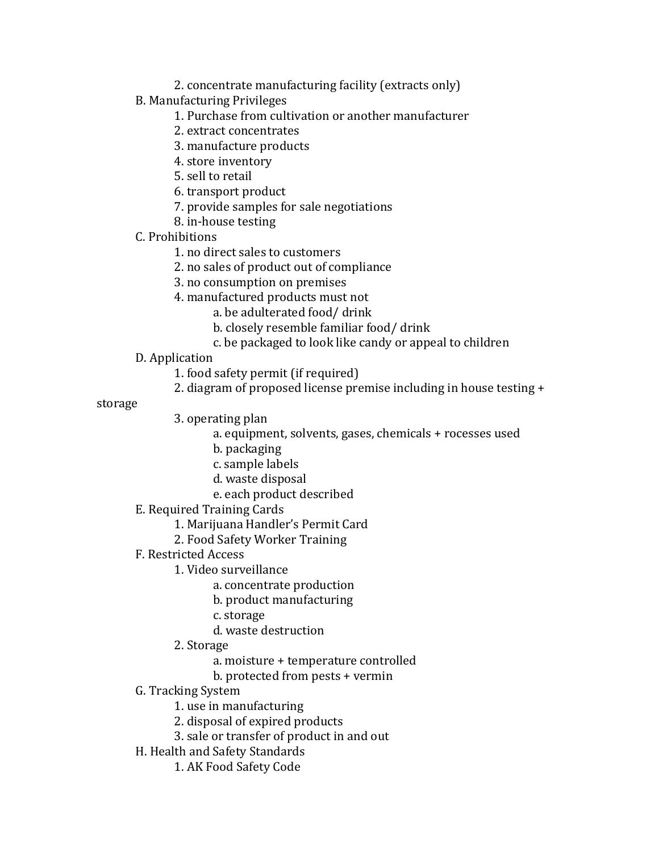- 2. concentrate manufacturing facility (extracts only)
- B. Manufacturing Privileges
	- 1. Purchase from cultivation or another manufacturer
	- 2. extract concentrates
	- 3. manufacture products
	- 4. store inventory
	- 5. sell to retail
	- 6. transport product
	- 7. provide samples for sale negotiations
	- 8. in-house testing
- C. Prohibitions
	- 1. no direct sales to customers
	- 2. no sales of product out of compliance
	- 3. no consumption on premises
	- 4. manufactured products must not
		- a. be adulterated food/ drink
			- b. closely resemble familiar food/ drink
			- c. be packaged to look like candy or appeal to children
- D. Application
	- 1. food safety permit (if required)
	- 2. diagram of proposed license premise including in house testing +

storage

- 3. operating plan
	- a. equipment, solvents, gases, chemicals + rocesses used
	- b. packaging
	- c. sample labels
	- d. waste disposal
	- e. each product described
- E. Required Training Cards
	- 1. Marijuana Handler's Permit Card
	- 2. Food Safety Worker Training
- F. Restricted Access
	- 1. Video surveillance
		- a. concentrate production
		- b. product manufacturing
		- c. storage
		- d. waste destruction
	- 2. Storage
		- a. moisture + temperature controlled
		- b. protected from pests + vermin
- G. Tracking System
	- 1. use in manufacturing
	- 2. disposal of expired products
	- 3. sale or transfer of product in and out
- H. Health and Safety Standards
	- 1. AK Food Safety Code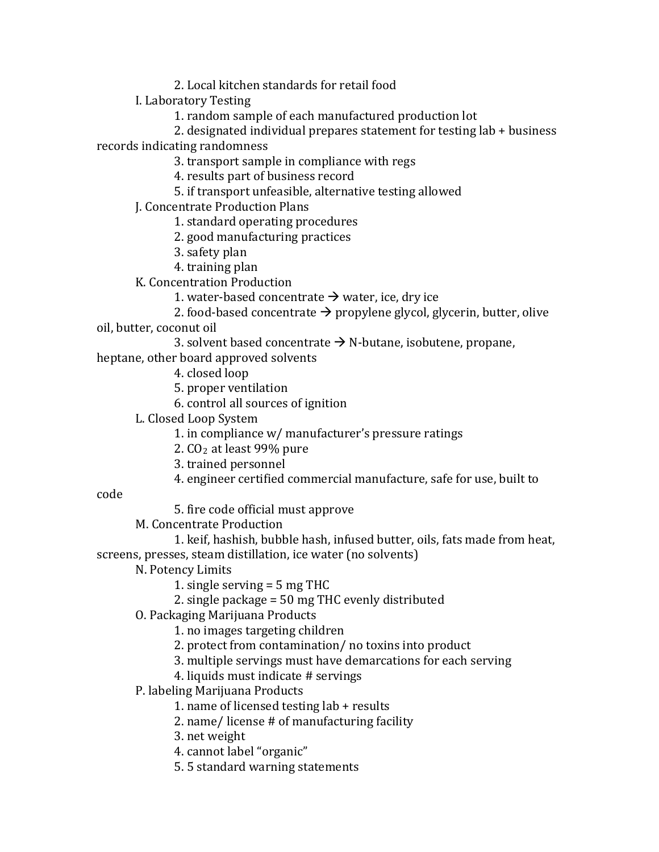2. Local kitchen standards for retail food

I. Laboratory Testing

1. random sample of each manufactured production lot

2. designated individual prepares statement for testing lab + business records indicating randomness

3. transport sample in compliance with regs

4. results part of business record

5. if transport unfeasible, alternative testing allowed

J. Concentrate Production Plans

1. standard operating procedures

2. good manufacturing practices

- 3. safety plan
- 4. training plan

K. Concentration Production

1. water-based concentrate  $\rightarrow$  water, ice, dry ice

2. food-based concentrate  $\rightarrow$  propylene glycol, glycerin, butter, olive oil, butter, coconut oil

3. solvent based concentrate  $\rightarrow$  N-butane, isobutene, propane,

heptane, other board approved solvents

- 4. closed loop
- 5. proper ventilation

6. control all sources of ignition

L. Closed Loop System

1. in compliance w/ manufacturer's pressure ratings

2. CO2 at least 99% pure

3. trained personnel

4. engineer certified commercial manufacture, safe for use, built to

code

5. fire code official must approve

M. Concentrate Production

1. keif, hashish, bubble hash, infused butter, oils, fats made from heat, screens, presses, steam distillation, ice water (no solvents)

N. Potency Limits

1. single serving = 5 mg THC

2. single package = 50 mg THC evenly distributed

O. Packaging Marijuana Products

1. no images targeting children

2. protect from contamination/ no toxins into product

3. multiple servings must have demarcations for each serving

4. liquids must indicate # servings

P. labeling Marijuana Products

1. name of licensed testing lab + results

2. name/ license # of manufacturing facility

3. net weight

4. cannot label "organic"

5. 5 standard warning statements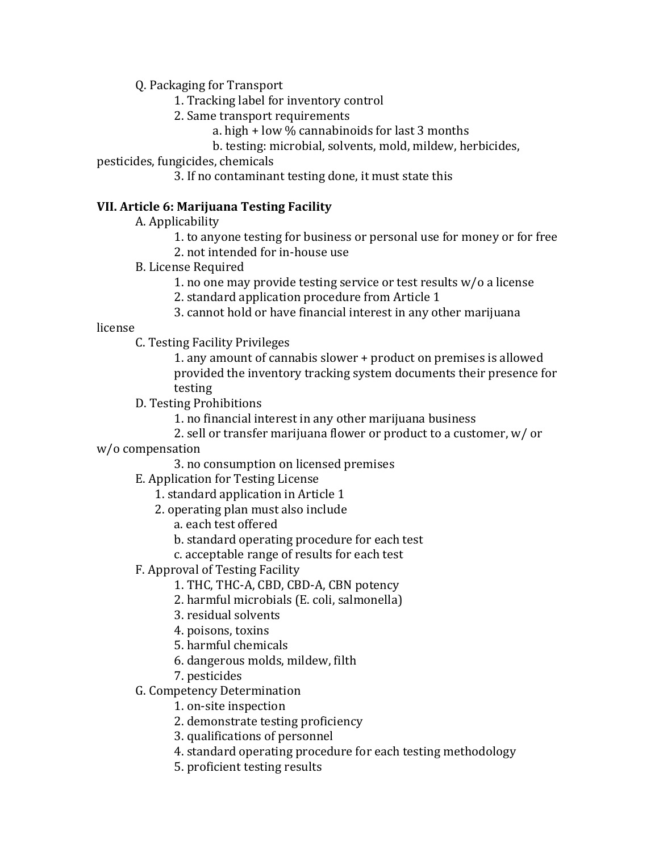Q. Packaging for Transport

- 1. Tracking label for inventory control
- 2. Same transport requirements
	- a. high + low % cannabinoids for last 3 months
	- b. testing: microbial, solvents, mold, mildew, herbicides,

pesticides, fungicides, chemicals

3. If no contaminant testing done, it must state this

## **VII. Article 6: Marijuana Testing Facility**

- A. Applicability
	- 1. to anyone testing for business or personal use for money or for free 2. not intended for in-house use
- B. License Required
	- 1. no one may provide testing service or test results w/o a license
	- 2. standard application procedure from Article 1
	- 3. cannot hold or have financial interest in any other marijuana

license

- C. Testing Facility Privileges
	- 1. any amount of cannabis slower + product on premises is allowed provided the inventory tracking system documents their presence for testing
- D. Testing Prohibitions
	- 1. no financial interest in any other marijuana business
	- 2. sell or transfer marijuana flower or product to a customer, w/ or
- w/o compensation
	- 3. no consumption on licensed premises
	- E. Application for Testing License
		- 1. standard application in Article 1
		- 2. operating plan must also include
			- a. each test offered
			- b. standard operating procedure for each test
			- c. acceptable range of results for each test
	- F. Approval of Testing Facility
		- 1. THC, THC-A, CBD, CBD-A, CBN potency
		- 2. harmful microbials (E. coli, salmonella)
		- 3. residual solvents
		- 4. poisons, toxins
		- 5. harmful chemicals
		- 6. dangerous molds, mildew, filth
		- 7. pesticides
	- G. Competency Determination
		- 1. on-site inspection
		- 2. demonstrate testing proficiency
		- 3. qualifications of personnel
		- 4. standard operating procedure for each testing methodology
		- 5. proficient testing results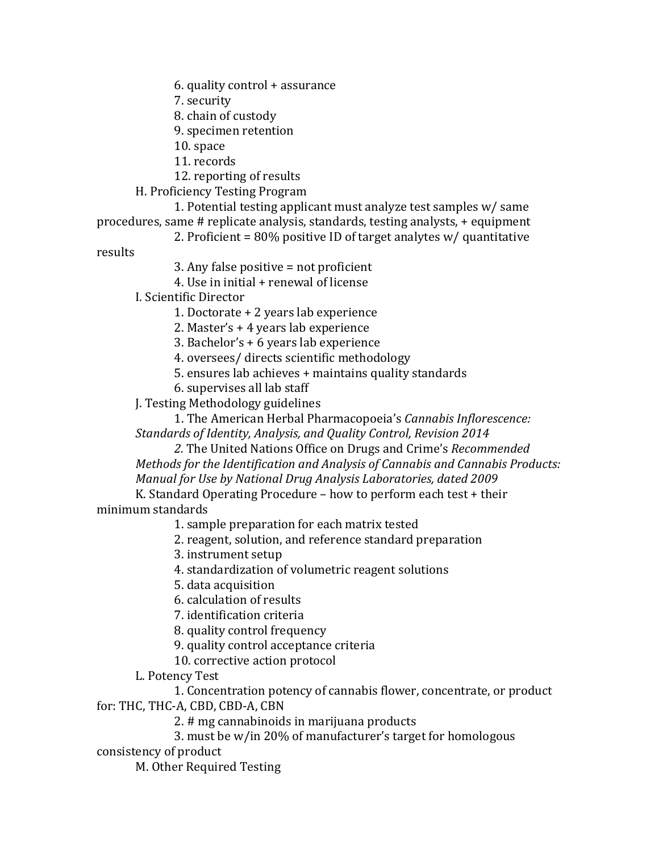6. quality control + assurance

7. security

8. chain of custody

9. specimen retention

10. space

11. records

12. reporting of results

H. Proficiency Testing Program

1. Potential testing applicant must analyze test samples w/ same procedures, same # replicate analysis, standards, testing analysts, + equipment

2. Proficient = 80% positive ID of target analytes w/ quantitative

results

3. Any false positive = not proficient

4. Use in initial + renewal of license

I. Scientific Director

1. Doctorate + 2 years lab experience

2. Master's + 4 years lab experience

3. Bachelor's + 6 years lab experience

4. oversees/ directs scientific methodology

5. ensures lab achieves + maintains quality standards

6. supervises all lab staff

J. Testing Methodology guidelines

1. The American Herbal Pharmacopoeia's *Cannabis Inflorescence: Standards of Identity, Analysis, and Quality Control, Revision 2014*

*2.* The United Nations Office on Drugs and Crime's *Recommended Methods for the Identification and Analysis of Cannabis and Cannabis Products: Manual for Use by National Drug Analysis Laboratories, dated 2009*

K. Standard Operating Procedure – how to perform each test + their minimum standards

1. sample preparation for each matrix tested

2. reagent, solution, and reference standard preparation

3. instrument setup

4. standardization of volumetric reagent solutions

5. data acquisition

6. calculation of results

7. identification criteria

8. quality control frequency

9. quality control acceptance criteria

10. corrective action protocol

L. Potency Test

1. Concentration potency of cannabis flower, concentrate, or product

for: THC, THC-A, CBD, CBD-A, CBN

2. # mg cannabinoids in marijuana products

3. must be w/in 20% of manufacturer's target for homologous

consistency of product

M. Other Required Testing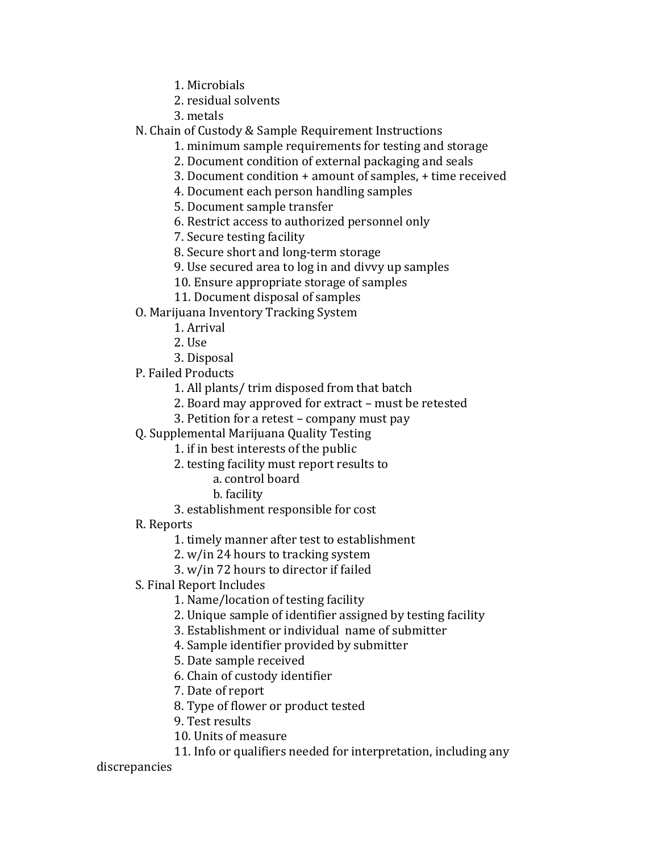1. Microbials

2. residual solvents

3. metals

N. Chain of Custody & Sample Requirement Instructions

1. minimum sample requirements for testing and storage

2. Document condition of external packaging and seals

3. Document condition + amount of samples, + time received

4. Document each person handling samples

5. Document sample transfer

6. Restrict access to authorized personnel only

7. Secure testing facility

8. Secure short and long-term storage

9. Use secured area to log in and divvy up samples

10. Ensure appropriate storage of samples

- 11. Document disposal of samples
- O. Marijuana Inventory Tracking System
	- 1. Arrival
	- 2. Use

3. Disposal

P. Failed Products

1. All plants/ trim disposed from that batch

2. Board may approved for extract – must be retested

3. Petition for a retest – company must pay

Q. Supplemental Marijuana Quality Testing

1. if in best interests of the public

- 2. testing facility must report results to
	- a. control board
	- b. facility
- 3. establishment responsible for cost
- R. Reports

1. timely manner after test to establishment

2. w/in 24 hours to tracking system

3. w/in 72 hours to director if failed

S. Final Report Includes

1. Name/location of testing facility

2. Unique sample of identifier assigned by testing facility

3. Establishment or individual name of submitter

4. Sample identifier provided by submitter

5. Date sample received

6. Chain of custody identifier

7. Date of report

8. Type of flower or product tested

9. Test results

10. Units of measure

11. Info or qualifiers needed for interpretation, including any

discrepancies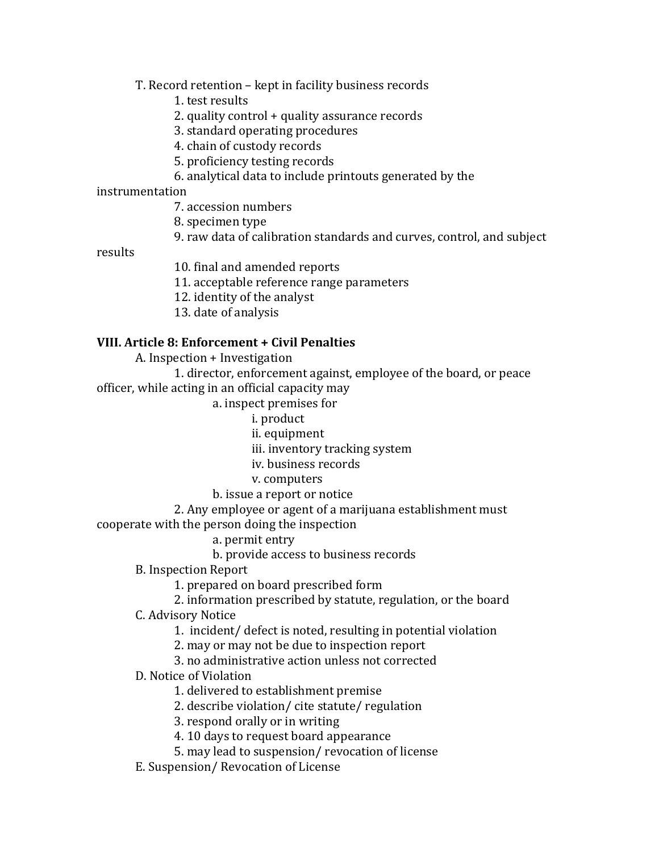T. Record retention – kept in facility business records

1. test results

2. quality control + quality assurance records

3. standard operating procedures

4. chain of custody records

5. proficiency testing records

6. analytical data to include printouts generated by the

instrumentation

7. accession numbers

8. specimen type

9. raw data of calibration standards and curves, control, and subject

results

10. final and amended reports

11. acceptable reference range parameters

12. identity of the analyst

13. date of analysis

#### **VIII. Article 8: Enforcement + Civil Penalties**

A. Inspection + Investigation

1. director, enforcement against, employee of the board, or peace officer, while acting in an official capacity may

a. inspect premises for

i. product

ii. equipment

iii. inventory tracking system

iv. business records

v. computers

b. issue a report or notice

2. Any employee or agent of a marijuana establishment must cooperate with the person doing the inspection

a. permit entry

b. provide access to business records

B. Inspection Report

1. prepared on board prescribed form

2. information prescribed by statute, regulation, or the board

C. Advisory Notice

1. incident/ defect is noted, resulting in potential violation

2. may or may not be due to inspection report

3. no administrative action unless not corrected

D. Notice of Violation

1. delivered to establishment premise

2. describe violation/ cite statute/ regulation

3. respond orally or in writing

4. 10 days to request board appearance

5. may lead to suspension/ revocation of license

E. Suspension/ Revocation of License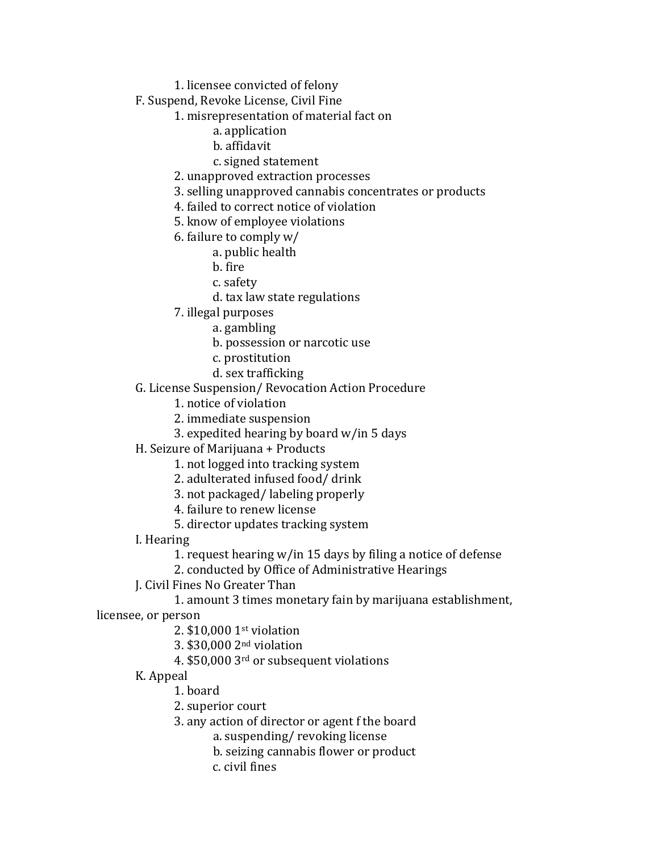1. licensee convicted of felony

F. Suspend, Revoke License, Civil Fine

1. misrepresentation of material fact on

- a. application
- b. affidavit
- c. signed statement

2. unapproved extraction processes

3. selling unapproved cannabis concentrates or products

4. failed to correct notice of violation

5. know of employee violations

6. failure to comply w/

a. public health

- b. fire
- c. safety
- d. tax law state regulations
- 7. illegal purposes
	- a. gambling
	- b. possession or narcotic use
	- c. prostitution
	- d. sex trafficking

G. License Suspension/ Revocation Action Procedure

1. notice of violation

2. immediate suspension

- 3. expedited hearing by board w/in 5 days
- H. Seizure of Marijuana + Products
	- 1. not logged into tracking system
	- 2. adulterated infused food/ drink
	- 3. not packaged/ labeling properly
	- 4. failure to renew license
	- 5. director updates tracking system
- I. Hearing
	- 1. request hearing w/in 15 days by filing a notice of defense

2. conducted by Office of Administrative Hearings

J. Civil Fines No Greater Than

1. amount 3 times monetary fain by marijuana establishment,

licensee, or person

- 2. \$10,000 1st violation
- 3. \$30,000 2nd violation
- 4. \$50,000 3rd or subsequent violations
- K. Appeal
	- 1. board
	- 2. superior court
	- 3. any action of director or agent f the board

a. suspending/ revoking license

- b. seizing cannabis flower or product
- c. civil fines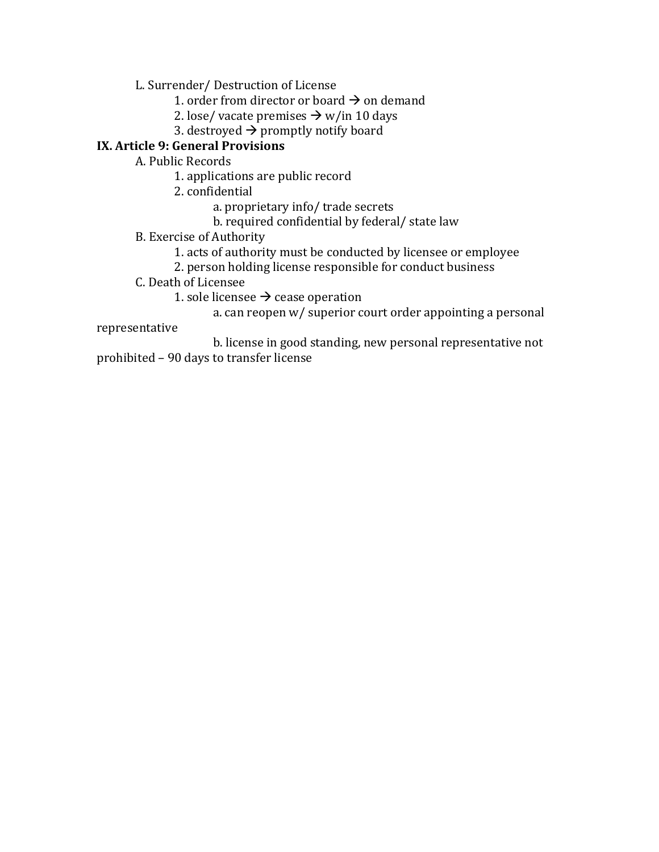L. Surrender/ Destruction of License

- 1. order from director or board  $\rightarrow$  on demand
- 2. lose/ vacate premises  $\rightarrow$  w/in 10 days
- 3. destroyed  $\rightarrow$  promptly notify board

# **IX. Article 9: General Provisions**

A. Public Records

- 1. applications are public record
- 2. confidential
	- a. proprietary info/ trade secrets
	- b. required confidential by federal/ state law
- B. Exercise of Authority
	- 1. acts of authority must be conducted by licensee or employee
	- 2. person holding license responsible for conduct business
- C. Death of Licensee
	- 1. sole licensee  $\rightarrow$  cease operation
		- a. can reopen w/ superior court order appointing a personal

#### representative

b. license in good standing, new personal representative not prohibited – 90 days to transfer license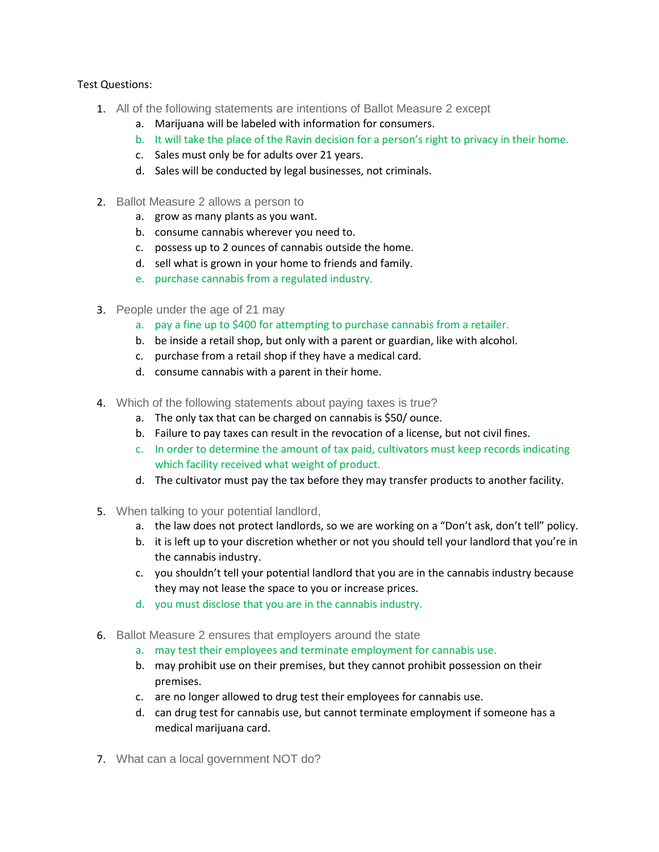#### Test Questions:

- 1. All of the following statements are intentions of Ballot Measure 2 except
	- a. Marijuana will be labeled with information for consumers.
	- b. It will take the place of the Ravin decision for a person's right to privacy in their home.
	- c. Sales must only be for adults over 21 years.
	- d. Sales will be conducted by legal businesses, not criminals.
- 2. Ballot Measure 2 allows a person to
	- a. grow as many plants as you want.
	- b. consume cannabis wherever you need to.
	- c. possess up to 2 ounces of cannabis outside the home.
	- d. sell what is grown in your home to friends and family.
	- e. purchase cannabis from a regulated industry.
- 3. People under the age of 21 may
	- a. pay a fine up to \$400 for attempting to purchase cannabis from a retailer.
	- b. be inside a retail shop, but only with a parent or guardian, like with alcohol.
	- c. purchase from a retail shop if they have a medical card.
	- d. consume cannabis with a parent in their home.
- 4. Which of the following statements about paying taxes is true?
	- a. The only tax that can be charged on cannabis is \$50/ ounce.
	- b. Failure to pay taxes can result in the revocation of a license, but not civil fines.
	- c. In order to determine the amount of tax paid, cultivators must keep records indicating which facility received what weight of product.
	- d. The cultivator must pay the tax before they may transfer products to another facility.
- 5. When talking to your potential landlord,
	- a. the law does not protect landlords, so we are working on a "Don't ask, don't tell" policy.
	- b. it is left up to your discretion whether or not you should tell your landlord that you're in the cannabis industry.
	- c. you shouldn't tell your potential landlord that you are in the cannabis industry because they may not lease the space to you or increase prices.
	- d. you must disclose that you are in the cannabis industry.
- 6. Ballot Measure 2 ensures that employers around the state
	- a. may test their employees and terminate employment for cannabis use.
	- b. may prohibit use on their premises, but they cannot prohibit possession on their premises.
	- c. are no longer allowed to drug test their employees for cannabis use.
	- d. can drug test for cannabis use, but cannot terminate employment if someone has a medical marijuana card.
- 7. What can a local government NOT do?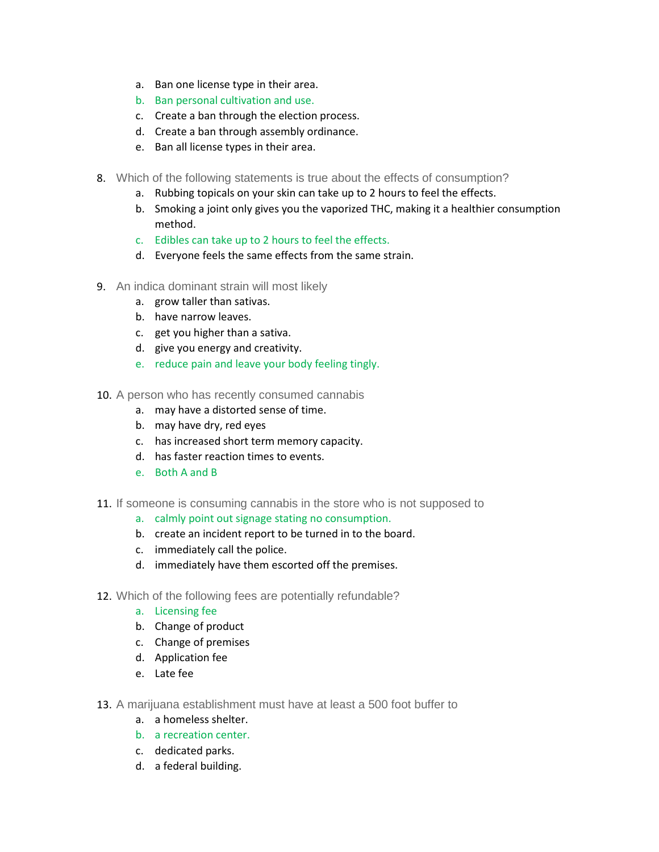- a. Ban one license type in their area.
- b. Ban personal cultivation and use.
- c. Create a ban through the election process.
- d. Create a ban through assembly ordinance.
- e. Ban all license types in their area.
- 8. Which of the following statements is true about the effects of consumption?
	- a. Rubbing topicals on your skin can take up to 2 hours to feel the effects.
	- b. Smoking a joint only gives you the vaporized THC, making it a healthier consumption method.
	- c. Edibles can take up to 2 hours to feel the effects.
	- d. Everyone feels the same effects from the same strain.
- 9. An indica dominant strain will most likely
	- a. grow taller than sativas.
	- b. have narrow leaves.
	- c. get you higher than a sativa.
	- d. give you energy and creativity.
	- e. reduce pain and leave your body feeling tingly.
- 10. A person who has recently consumed cannabis
	- a. may have a distorted sense of time.
	- b. may have dry, red eyes
	- c. has increased short term memory capacity.
	- d. has faster reaction times to events.
	- e. Both A and B
- 11. If someone is consuming cannabis in the store who is not supposed to
	- a. calmly point out signage stating no consumption.
	- b. create an incident report to be turned in to the board.
	- c. immediately call the police.
	- d. immediately have them escorted off the premises.
- 12. Which of the following fees are potentially refundable?
	- a. Licensing fee
	- b. Change of product
	- c. Change of premises
	- d. Application fee
	- e. Late fee
- 13. A marijuana establishment must have at least a 500 foot buffer to
	- a. a homeless shelter.
	- b. a recreation center.
	- c. dedicated parks.
	- d. a federal building.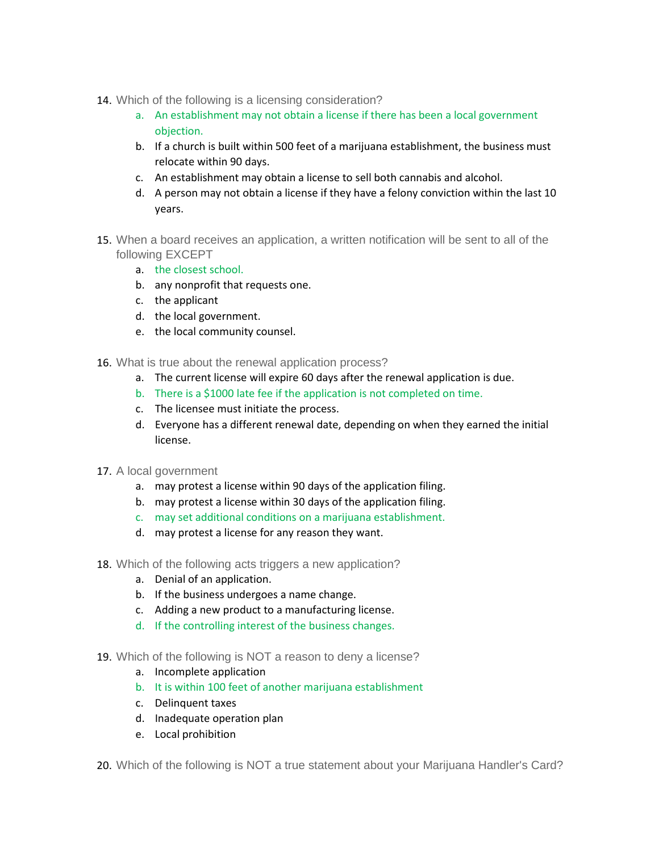- 14. Which of the following is a licensing consideration?
	- a. An establishment may not obtain a license if there has been a local government objection.
	- b. If a church is built within 500 feet of a marijuana establishment, the business must relocate within 90 days.
	- c. An establishment may obtain a license to sell both cannabis and alcohol.
	- d. A person may not obtain a license if they have a felony conviction within the last 10 years.
- 15. When a board receives an application, a written notification will be sent to all of the following EXCEPT
	- a. the closest school.
	- b. any nonprofit that requests one.
	- c. the applicant
	- d. the local government.
	- e. the local community counsel.
- 16. What is true about the renewal application process?
	- a. The current license will expire 60 days after the renewal application is due.
	- b. There is a \$1000 late fee if the application is not completed on time.
	- c. The licensee must initiate the process.
	- d. Everyone has a different renewal date, depending on when they earned the initial license.
- 17. A local government
	- a. may protest a license within 90 days of the application filing.
	- b. may protest a license within 30 days of the application filing.
	- c. may set additional conditions on a marijuana establishment.
	- d. may protest a license for any reason they want.
- 18. Which of the following acts triggers a new application?
	- a. Denial of an application.
	- b. If the business undergoes a name change.
	- c. Adding a new product to a manufacturing license.
	- d. If the controlling interest of the business changes.
- 19. Which of the following is NOT a reason to deny a license?
	- a. Incomplete application
	- b. It is within 100 feet of another marijuana establishment
	- c. Delinquent taxes
	- d. Inadequate operation plan
	- e. Local prohibition
- 20. Which of the following is NOT a true statement about your Marijuana Handler's Card?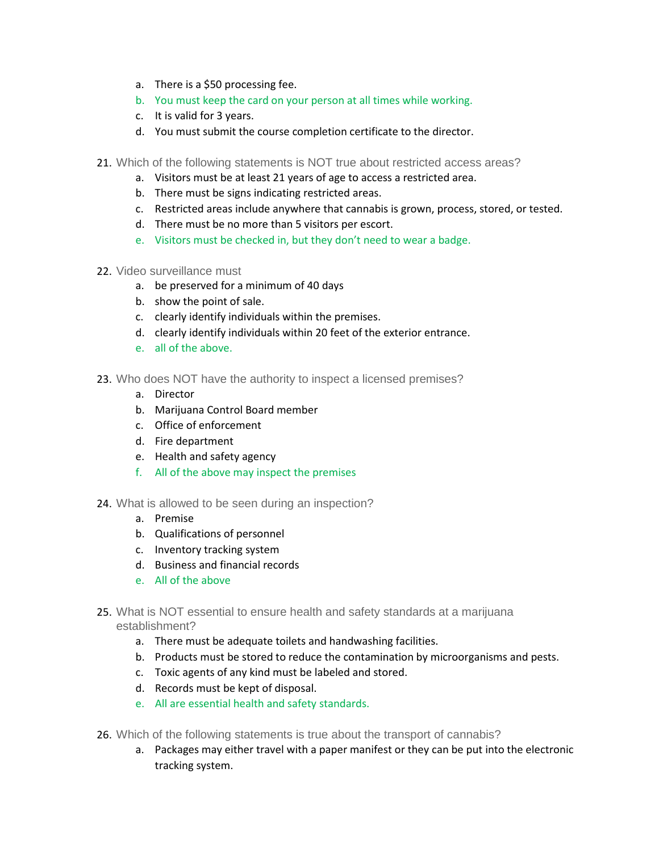- a. There is a \$50 processing fee.
- b. You must keep the card on your person at all times while working.
- c. It is valid for 3 years.
- d. You must submit the course completion certificate to the director.
- 21. Which of the following statements is NOT true about restricted access areas?
	- a. Visitors must be at least 21 years of age to access a restricted area.
	- b. There must be signs indicating restricted areas.
	- c. Restricted areas include anywhere that cannabis is grown, process, stored, or tested.
	- d. There must be no more than 5 visitors per escort.
	- e. Visitors must be checked in, but they don't need to wear a badge.
- 22. Video surveillance must
	- a. be preserved for a minimum of 40 days
	- b. show the point of sale.
	- c. clearly identify individuals within the premises.
	- d. clearly identify individuals within 20 feet of the exterior entrance.
	- e. all of the above.
- 23. Who does NOT have the authority to inspect a licensed premises?
	- a. Director
	- b. Marijuana Control Board member
	- c. Office of enforcement
	- d. Fire department
	- e. Health and safety agency
	- f. All of the above may inspect the premises
- 24. What is allowed to be seen during an inspection?
	- a. Premise
	- b. Qualifications of personnel
	- c. Inventory tracking system
	- d. Business and financial records
	- e. All of the above
- 25. What is NOT essential to ensure health and safety standards at a marijuana establishment?
	- a. There must be adequate toilets and handwashing facilities.
	- b. Products must be stored to reduce the contamination by microorganisms and pests.
	- c. Toxic agents of any kind must be labeled and stored.
	- d. Records must be kept of disposal.
	- e. All are essential health and safety standards.
- 26. Which of the following statements is true about the transport of cannabis?
	- a. Packages may either travel with a paper manifest or they can be put into the electronic tracking system.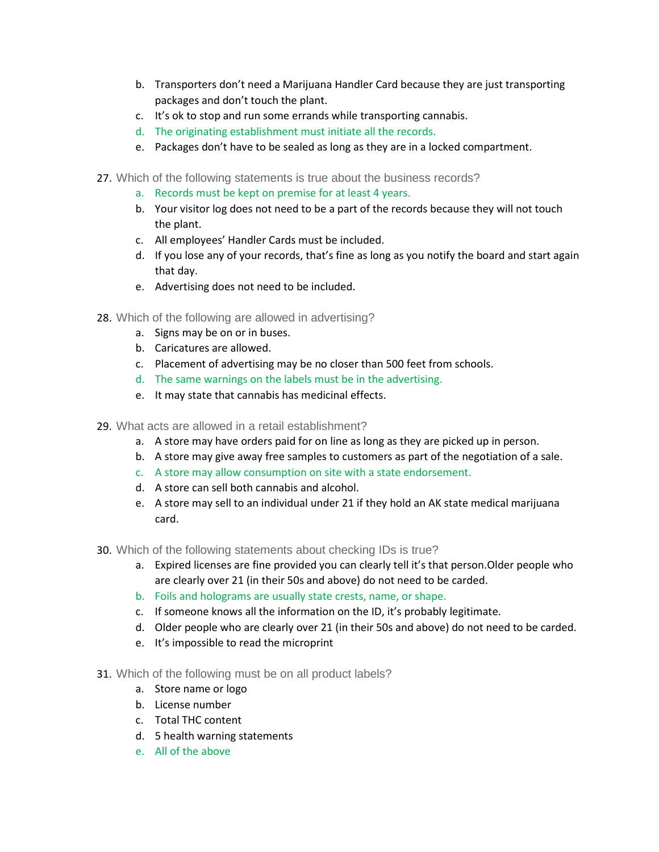- b. Transporters don't need a Marijuana Handler Card because they are just transporting packages and don't touch the plant.
- c. It's ok to stop and run some errands while transporting cannabis.
- d. The originating establishment must initiate all the records.
- e. Packages don't have to be sealed as long as they are in a locked compartment.
- 27. Which of the following statements is true about the business records?
	- a. Records must be kept on premise for at least 4 years.
	- b. Your visitor log does not need to be a part of the records because they will not touch the plant.
	- c. All employees' Handler Cards must be included.
	- d. If you lose any of your records, that's fine as long as you notify the board and start again that day.
	- e. Advertising does not need to be included.
- 28. Which of the following are allowed in advertising?
	- a. Signs may be on or in buses.
	- b. Caricatures are allowed.
	- c. Placement of advertising may be no closer than 500 feet from schools.
	- d. The same warnings on the labels must be in the advertising.
	- e. It may state that cannabis has medicinal effects.
- 29. What acts are allowed in a retail establishment?
	- a. A store may have orders paid for on line as long as they are picked up in person.
	- b. A store may give away free samples to customers as part of the negotiation of a sale.
	- c. A store may allow consumption on site with a state endorsement.
	- d. A store can sell both cannabis and alcohol.
	- e. A store may sell to an individual under 21 if they hold an AK state medical marijuana card.
- 30. Which of the following statements about checking IDs is true?
	- a. Expired licenses are fine provided you can clearly tell it's that person.Older people who are clearly over 21 (in their 50s and above) do not need to be carded.
	- b. Foils and holograms are usually state crests, name, or shape.
	- c. If someone knows all the information on the ID, it's probably legitimate.
	- d. Older people who are clearly over 21 (in their 50s and above) do not need to be carded.
	- e. It's impossible to read the microprint
- 31. Which of the following must be on all product labels?
	- a. Store name or logo
	- b. License number
	- c. Total THC content
	- d. 5 health warning statements
	- e. All of the above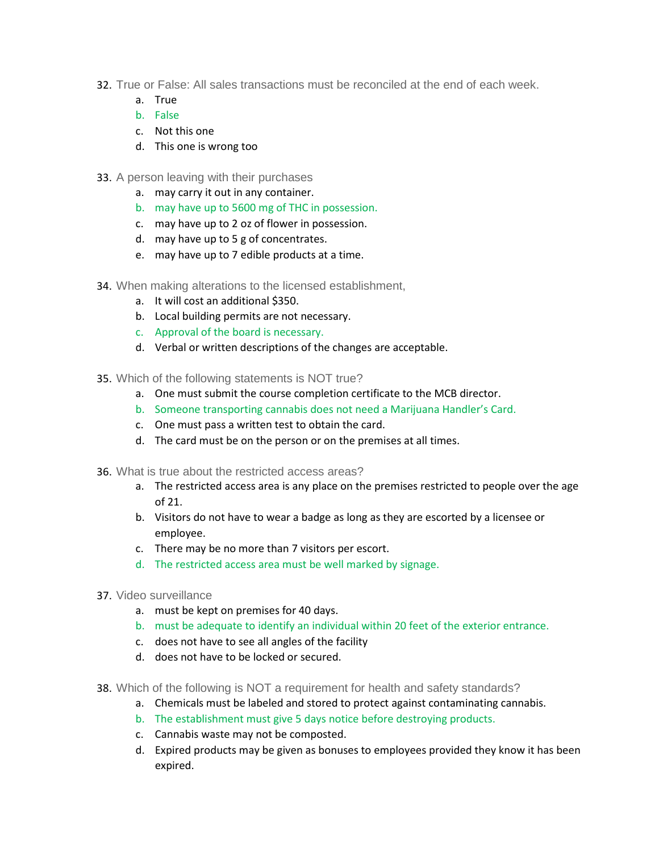- 32. True or False: All sales transactions must be reconciled at the end of each week.
	- a. True
	- b. False
	- c. Not this one
	- d. This one is wrong too
- 33. A person leaving with their purchases
	- a. may carry it out in any container.
	- b. may have up to 5600 mg of THC in possession.
	- c. may have up to 2 oz of flower in possession.
	- d. may have up to 5 g of concentrates.
	- e. may have up to 7 edible products at a time.
- 34. When making alterations to the licensed establishment,
	- a. It will cost an additional \$350.
	- b. Local building permits are not necessary.
	- c. Approval of the board is necessary.
	- d. Verbal or written descriptions of the changes are acceptable.
- 35. Which of the following statements is NOT true?
	- a. One must submit the course completion certificate to the MCB director.
	- b. Someone transporting cannabis does not need a Marijuana Handler's Card.
	- c. One must pass a written test to obtain the card.
	- d. The card must be on the person or on the premises at all times.
- 36. What is true about the restricted access areas?
	- a. The restricted access area is any place on the premises restricted to people over the age of 21.
	- b. Visitors do not have to wear a badge as long as they are escorted by a licensee or employee.
	- c. There may be no more than 7 visitors per escort.
	- d. The restricted access area must be well marked by signage.
- 37. Video surveillance
	- a. must be kept on premises for 40 days.
	- b. must be adequate to identify an individual within 20 feet of the exterior entrance.
	- c. does not have to see all angles of the facility
	- d. does not have to be locked or secured.
- 38. Which of the following is NOT a requirement for health and safety standards?
	- a. Chemicals must be labeled and stored to protect against contaminating cannabis.
	- b. The establishment must give 5 days notice before destroying products.
	- c. Cannabis waste may not be composted.
	- d. Expired products may be given as bonuses to employees provided they know it has been expired.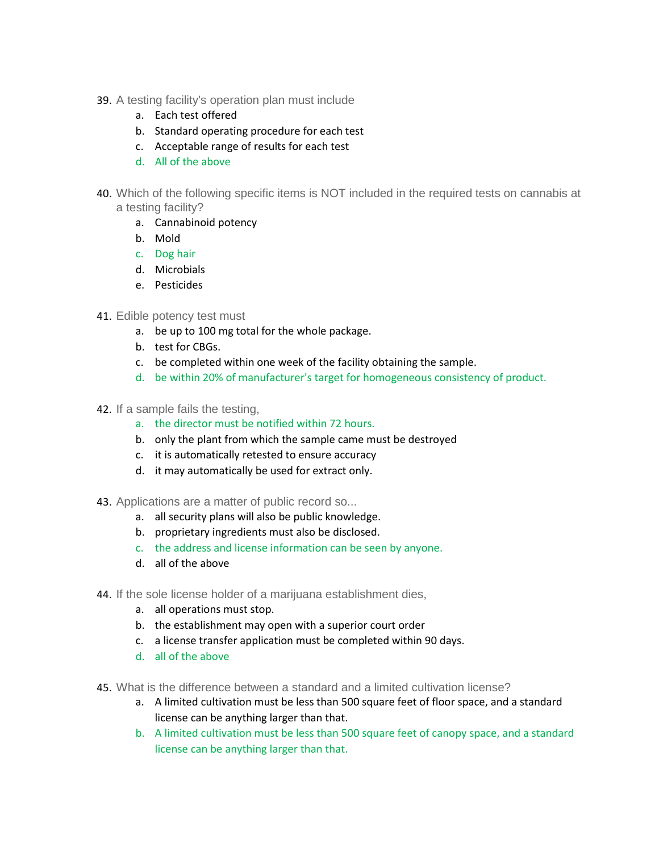- 39. A testing facility's operation plan must include
	- a. Each test offered
	- b. Standard operating procedure for each test
	- c. Acceptable range of results for each test
	- d. All of the above
- 40. Which of the following specific items is NOT included in the required tests on cannabis at a testing facility?
	- a. Cannabinoid potency
	- b. Mold
	- c. Dog hair
	- d. Microbials
	- e. Pesticides

#### 41. Edible potency test must

- a. be up to 100 mg total for the whole package.
- b. test for CBGs.
- c. be completed within one week of the facility obtaining the sample.
- d. be within 20% of manufacturer's target for homogeneous consistency of product.
- 42. If a sample fails the testing,
	- a. the director must be notified within 72 hours.
	- b. only the plant from which the sample came must be destroyed
	- c. it is automatically retested to ensure accuracy
	- d. it may automatically be used for extract only.
- 43. Applications are a matter of public record so...
	- a. all security plans will also be public knowledge.
	- b. proprietary ingredients must also be disclosed.
	- c. the address and license information can be seen by anyone.
	- d. all of the above
- 44. If the sole license holder of a marijuana establishment dies,
	- a. all operations must stop.
	- b. the establishment may open with a superior court order
	- c. a license transfer application must be completed within 90 days.
	- d. all of the above
- 45. What is the difference between a standard and a limited cultivation license?
	- a. A limited cultivation must be less than 500 square feet of floor space, and a standard license can be anything larger than that.
	- b. A limited cultivation must be less than 500 square feet of canopy space, and a standard license can be anything larger than that.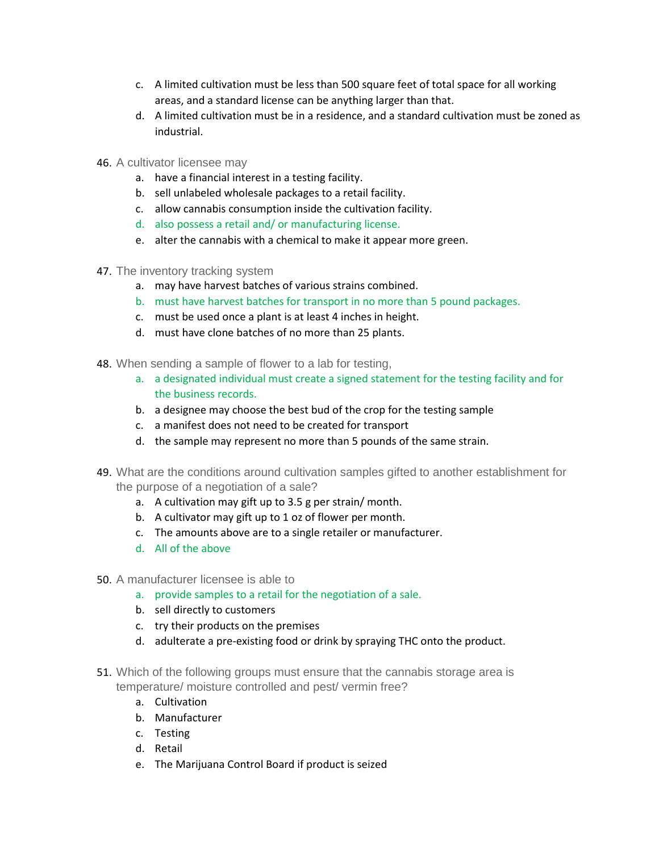- c. A limited cultivation must be less than 500 square feet of total space for all working areas, and a standard license can be anything larger than that.
- d. A limited cultivation must be in a residence, and a standard cultivation must be zoned as industrial.
- 46. A cultivator licensee may
	- a. have a financial interest in a testing facility.
	- b. sell unlabeled wholesale packages to a retail facility.
	- c. allow cannabis consumption inside the cultivation facility.
	- d. also possess a retail and/ or manufacturing license.
	- e. alter the cannabis with a chemical to make it appear more green.
- 47. The inventory tracking system
	- a. may have harvest batches of various strains combined.
	- b. must have harvest batches for transport in no more than 5 pound packages.
	- c. must be used once a plant is at least 4 inches in height.
	- d. must have clone batches of no more than 25 plants.
- 48. When sending a sample of flower to a lab for testing,
	- a. a designated individual must create a signed statement for the testing facility and for the business records.
	- b. a designee may choose the best bud of the crop for the testing sample
	- c. a manifest does not need to be created for transport
	- d. the sample may represent no more than 5 pounds of the same strain.
- 49. What are the conditions around cultivation samples gifted to another establishment for the purpose of a negotiation of a sale?
	- a. A cultivation may gift up to 3.5 g per strain/ month.
	- b. A cultivator may gift up to 1 oz of flower per month.
	- c. The amounts above are to a single retailer or manufacturer.
	- d. All of the above
- 50. A manufacturer licensee is able to
	- a. provide samples to a retail for the negotiation of a sale.
	- b. sell directly to customers
	- c. try their products on the premises
	- d. adulterate a pre-existing food or drink by spraying THC onto the product.
- 51. Which of the following groups must ensure that the cannabis storage area is temperature/ moisture controlled and pest/ vermin free?
	- a. Cultivation
	- b. Manufacturer
	- c. Testing
	- d. Retail
	- e. The Marijuana Control Board if product is seized